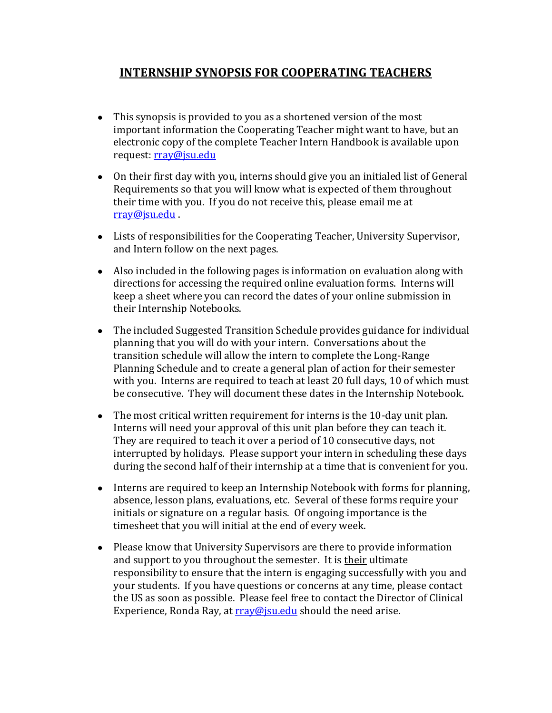# **INTERNSHIP SYNOPSIS FOR COOPERATING TEACHERS**

- This synopsis is provided to you as a shortened version of the most important information the Cooperating Teacher might want to have, but an electronic copy of the complete Teacher Intern Handbook is available upon request: [rray@jsu.edu](mailto:rray@jsu.edu)
- On their first day with you, interns should give you an initialed list of General Requirements so that you will know what is expected of them throughout their time with you. If you do not receive this, please email me at [rray@jsu.edu](mailto:rray@jsu.edu) .
- Lists of responsibilities for the Cooperating Teacher, University Supervisor, and Intern follow on the next pages.
- Also included in the following pages is information on evaluation along with directions for accessing the required online evaluation forms. Interns will keep a sheet where you can record the dates of your online submission in their Internship Notebooks.
- The included Suggested Transition Schedule provides guidance for individual planning that you will do with your intern. Conversations about the transition schedule will allow the intern to complete the Long-Range Planning Schedule and to create a general plan of action for their semester with you. Interns are required to teach at least 20 full days, 10 of which must be consecutive. They will document these dates in the Internship Notebook.
- The most critical written requirement for interns is the 10-day unit plan. Interns will need your approval of this unit plan before they can teach it. They are required to teach it over a period of 10 consecutive days, not interrupted by holidays. Please support your intern in scheduling these days during the second half of their internship at a time that is convenient for you.
- Interns are required to keep an Internship Notebook with forms for planning, absence, lesson plans, evaluations, etc. Several of these forms require your initials or signature on a regular basis. Of ongoing importance is the timesheet that you will initial at the end of every week.
- Please know that University Supervisors are there to provide information and support to you throughout the semester. It is their ultimate responsibility to ensure that the intern is engaging successfully with you and your students. If you have questions or concerns at any time, please contact the US as soon as possible. Please feel free to contact the Director of Clinical Experience, Ronda Ray, at  $rrav@$  is u.edu should the need arise.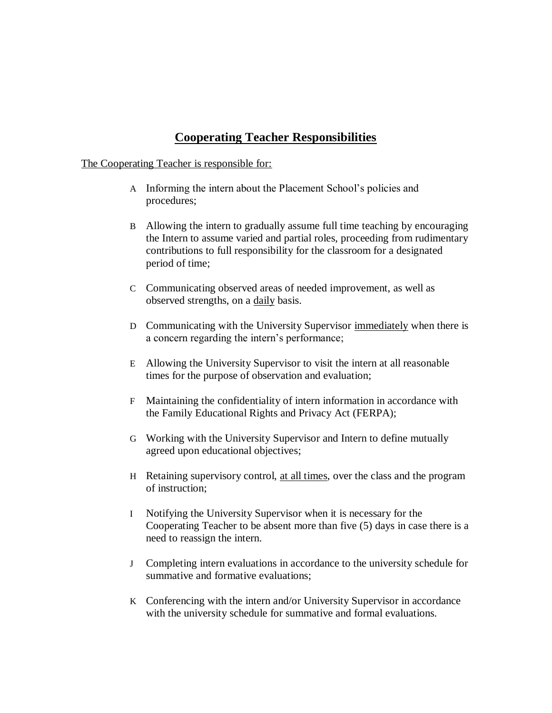## **Cooperating Teacher Responsibilities**

#### The Cooperating Teacher is responsible for:

- A Informing the intern about the Placement School's policies and procedures;
- B Allowing the intern to gradually assume full time teaching by encouraging the Intern to assume varied and partial roles, proceeding from rudimentary contributions to full responsibility for the classroom for a designated period of time;
- C Communicating observed areas of needed improvement, as well as observed strengths, on a daily basis.
- D Communicating with the University Supervisor immediately when there is a concern regarding the intern's performance;
- E Allowing the University Supervisor to visit the intern at all reasonable times for the purpose of observation and evaluation;
- F Maintaining the confidentiality of intern information in accordance with the Family Educational Rights and Privacy Act (FERPA);
- G Working with the University Supervisor and Intern to define mutually agreed upon educational objectives;
- H Retaining supervisory control, at all times, over the class and the program of instruction;
- I Notifying the University Supervisor when it is necessary for the Cooperating Teacher to be absent more than five (5) days in case there is a need to reassign the intern.
- J Completing intern evaluations in accordance to the university schedule for summative and formative evaluations;
- K Conferencing with the intern and/or University Supervisor in accordance with the university schedule for summative and formal evaluations.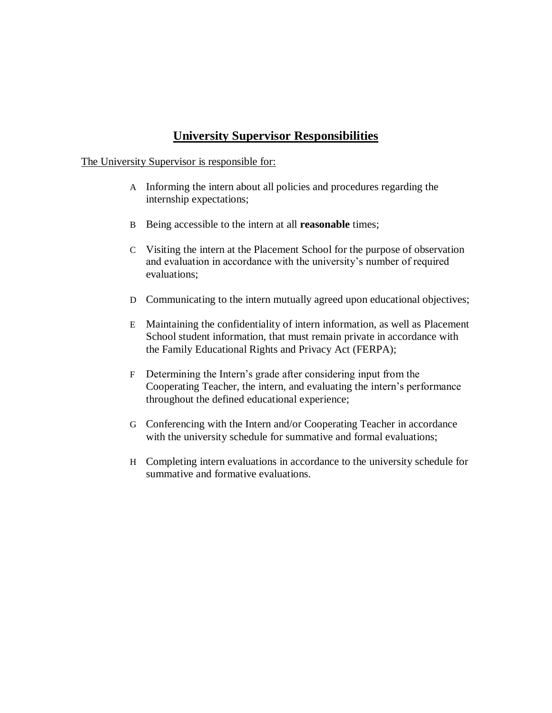## **University Supervisor Responsibilities**

#### The University Supervisor is responsible for:

- A Informing the intern about all policies and procedures regarding the internship expectations;
- B Being accessible to the intern at all **reasonable** times;
- C Visiting the intern at the Placement School for the purpose of observation and evaluation in accordance with the university's number of required evaluations;
- D Communicating to the intern mutually agreed upon educational objectives;
- E Maintaining the confidentiality of intern information, as well as Placement School student information, that must remain private in accordance with the Family Educational Rights and Privacy Act (FERPA);
- F Determining the Intern's grade after considering input from the Cooperating Teacher, the intern, and evaluating the intern's performance throughout the defined educational experience;
- G Conferencing with the Intern and/or Cooperating Teacher in accordance with the university schedule for summative and formal evaluations;
- H Completing intern evaluations in accordance to the university schedule for summative and formative evaluations.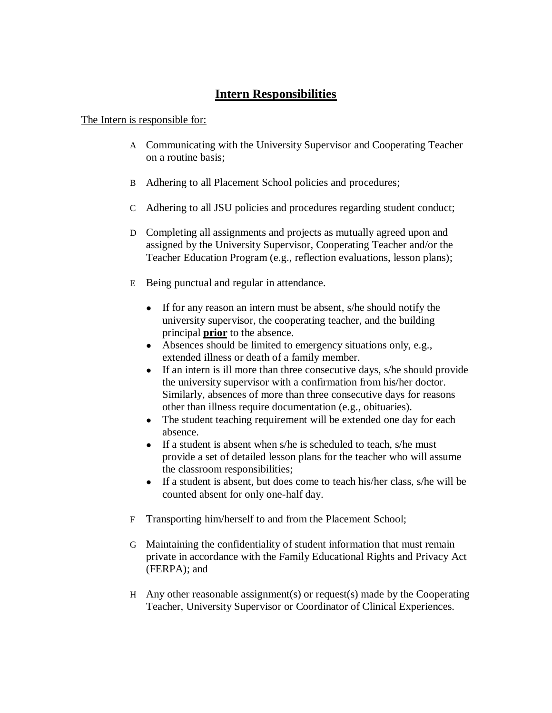## **Intern Responsibilities**

#### The Intern is responsible for:

- A Communicating with the University Supervisor and Cooperating Teacher on a routine basis;
- B Adhering to all Placement School policies and procedures;
- C Adhering to all JSU policies and procedures regarding student conduct;
- D Completing all assignments and projects as mutually agreed upon and assigned by the University Supervisor, Cooperating Teacher and/or the Teacher Education Program (e.g., reflection evaluations, lesson plans);
- E Being punctual and regular in attendance.
	- If for any reason an intern must be absent, s/he should notify the university supervisor, the cooperating teacher, and the building principal **prior** to the absence.
	- Absences should be limited to emergency situations only, e.g., extended illness or death of a family member.
	- If an intern is ill more than three consecutive days, s/he should provide the university supervisor with a confirmation from his/her doctor. Similarly, absences of more than three consecutive days for reasons other than illness require documentation (e.g., obituaries).
	- The student teaching requirement will be extended one day for each absence.
	- If a student is absent when s/he is scheduled to teach, s/he must provide a set of detailed lesson plans for the teacher who will assume the classroom responsibilities;
	- If a student is absent, but does come to teach his/her class, s/he will be counted absent for only one-half day.
- F Transporting him/herself to and from the Placement School;
- G Maintaining the confidentiality of student information that must remain private in accordance with the Family Educational Rights and Privacy Act (FERPA); and
- H Any other reasonable assignment(s) or request(s) made by the Cooperating Teacher, University Supervisor or Coordinator of Clinical Experiences.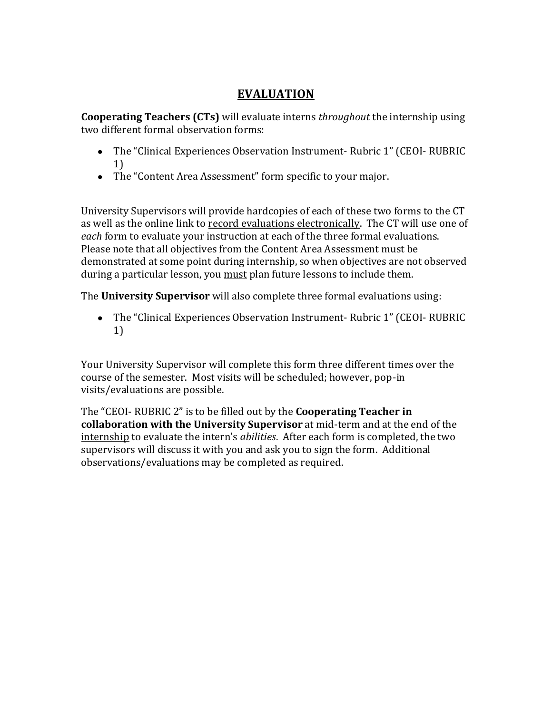## **EVALUATION**

**Cooperating Teachers (CTs)** will evaluate interns *throughout* the internship using two different formal observation forms:

- The "Clinical Experiences Observation Instrument- Rubric 1" (CEOI- RUBRIC 1)
- The "Content Area Assessment" form specific to your major.

University Supervisors will provide hardcopies of each of these two forms to the CT as well as the online link to record evaluations electronically. The CT will use one of *each* form to evaluate your instruction at each of the three formal evaluations. Please note that all objectives from the Content Area Assessment must be demonstrated at some point during internship, so when objectives are not observed during a particular lesson, you must plan future lessons to include them.

The **University Supervisor** will also complete three formal evaluations using:

● The "Clinical Experiences Observation Instrument- Rubric 1" (CEOI- RUBRIC 1)

Your University Supervisor will complete this form three different times over the course of the semester. Most visits will be scheduled; however, pop-in visits/evaluations are possible.

The "CEOI- RUBRIC 2" is to be filled out by the **Cooperating Teacher in collaboration with the University Supervisor** at mid-term and at the end of the internship to evaluate the intern's *abilities*. After each form is completed, the two supervisors will discuss it with you and ask you to sign the form. Additional observations/evaluations may be completed as required.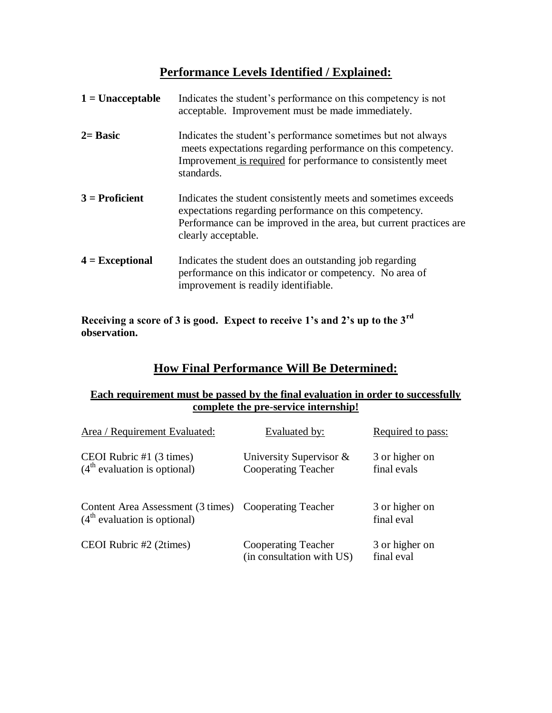# **Performance Levels Identified / Explained:**

| $1 =$ Unacceptable | Indicates the student's performance on this competency is not<br>acceptable. Improvement must be made immediately.                                                                                                    |
|--------------------|-----------------------------------------------------------------------------------------------------------------------------------------------------------------------------------------------------------------------|
| $2=$ Basic         | Indicates the student's performance sometimes but not always<br>meets expectations regarding performance on this competency.<br>Improvement is required for performance to consistently meet<br>standards.            |
| $3$ = Proficient   | Indicates the student consistently meets and sometimes exceeds<br>expectations regarding performance on this competency.<br>Performance can be improved in the area, but current practices are<br>clearly acceptable. |
| $4 = Exceptional$  | Indicates the student does an outstanding job regarding<br>performance on this indicator or competency. No area of<br>improvement is readily identifiable.                                                            |

**Receiving a score of 3 is good. Expect to receive 1's and 2's up to the 3rd observation.**

# **How Final Performance Will Be Determined:**

#### **Each requirement must be passed by the final evaluation in order to successfully complete the pre-service internship!**

| Area / Requirement Evaluated:                                                           | Evaluated by:                                            | Required to pass:             |
|-----------------------------------------------------------------------------------------|----------------------------------------------------------|-------------------------------|
| CEOI Rubric #1 (3 times)<br>$(4th$ evaluation is optional)                              | University Supervisor $\&$<br><b>Cooperating Teacher</b> | 3 or higher on<br>final evals |
| Content Area Assessment (3 times) Cooperating Teacher<br>$(4th$ evaluation is optional) |                                                          | 3 or higher on<br>final eval  |
| CEOI Rubric #2 (2times)                                                                 | <b>Cooperating Teacher</b><br>(in consultation with US)  | 3 or higher on<br>final eval  |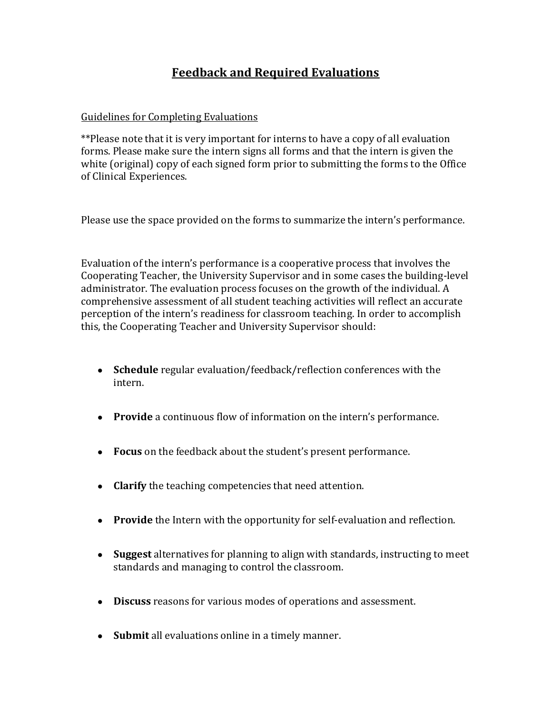# **Feedback and Required Evaluations**

#### Guidelines for Completing Evaluations

\*\*Please note that it is very important for interns to have a copy of all evaluation forms. Please make sure the intern signs all forms and that the intern is given the white (original) copy of each signed form prior to submitting the forms to the Office of Clinical Experiences.

Please use the space provided on the forms to summarize the intern's performance.

Evaluation of the intern's performance is a cooperative process that involves the Cooperating Teacher, the University Supervisor and in some cases the building-level administrator. The evaluation process focuses on the growth of the individual. A comprehensive assessment of all student teaching activities will reflect an accurate perception of the intern's readiness for classroom teaching. In order to accomplish this, the Cooperating Teacher and University Supervisor should:

- **Schedule** regular evaluation/feedback/reflection conferences with the intern.
- **Provide** a continuous flow of information on the intern's performance.
- **Focus** on the feedback about the student's present performance.
- **Clarify** the teaching competencies that need attention.
- **Provide** the Intern with the opportunity for self-evaluation and reflection.
- **Suggest** alternatives for planning to align with standards, instructing to meet standards and managing to control the classroom.
- **Discuss** reasons for various modes of operations and assessment.
- **Submit** all evaluations online in a timely manner.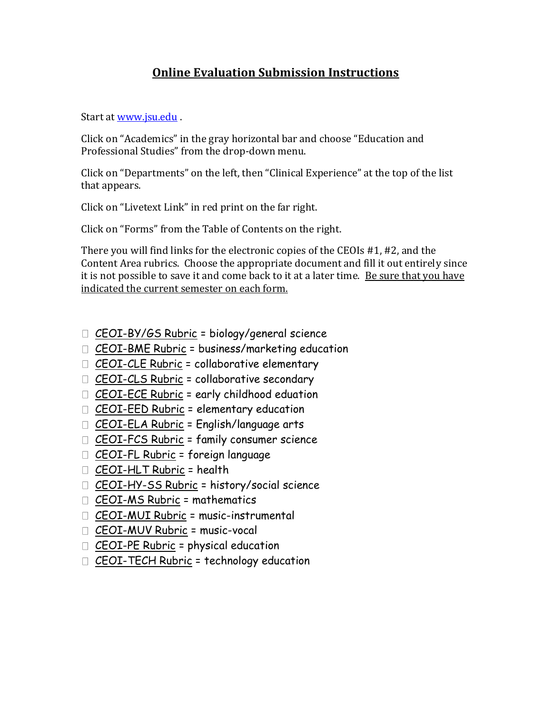# **Online Evaluation Submission Instructions**

Start at [www.jsu.edu](http://www.jsu.edu/) .

Click on "Academics" in the gray horizontal bar and choose "Education and Professional Studies" from the drop-down menu.

Click on "Departments" on the left, then "Clinical Experience" at the top of the list that appears.

Click on "Livetext Link" in red print on the far right.

Click on "Forms" from the Table of Contents on the right.

There you will find links for the electronic copies of the CEOIs #1, #2, and the Content Area rubrics. Choose the appropriate document and fill it out entirely since it is not possible to save it and come back to it at a later time. Be sure that you have indicated the current semester on each form.

- $\Box$  [CEOI-BY/GS Rubric](http://college.livetext.com/misk5/formz/public/45791/uPzRvT5jXA) = biology/general science
- [CEOI-BME Rubric](http://c1.livetext.com/misk5/formz/public/36407/xDDhwAKiMz) = business/marketing education
- $\Box$  [CEOI-CLE Rubric](http://c1.livetext.com/misk5/formz/public/40491/gjDooU7eIt) = collaborative elementary
- $\Box$  [CEOI-CLS Rubric](http://c1.livetext.com/misk5/formz/public/36410/b9uPzEFWbG) = collaborative secondary
- $\Box$  [CEOI-ECE Rubric](http://c1.livetext.com/misk5/formz/public/36411/Yr3hwQuRBG) = early childhood eduation
- $\Box$  [CEOI-EED Rubric](http://college.livetext.com/misk5/formz/public/36887/J5MJdi7fRn) = elementary education
- $\Box$  [CEOI-ELA Rubric](http://c1.livetext.com/misk5/formz/public/36413/S7ICbqg9bm) = English/language arts
- $\Box$  [CEOI-FCS Rubric](http://c1.livetext.com/misk5/formz/public/36414/Acb7LQmWho) = family consumer science
- $\Box$  [CEOI-FL Rubric](http://c1.livetext.com/misk5/formz/public/36415/LDHAkY5dAd) = foreign language
- [CEOI-HLT Rubric](http://c1.livetext.com/misk5/formz/public/36416/urpqktw2uK) = health
- $\Box$  [CEOI-HY-SS Rubric](http://college.livetext.com/misk5/formz/public/36417/5iaqxGB7Yr) = history/social science
- [CEOI-MS Rubric](http://college.livetext.com/misk5/formz/public/36419/W68hTPwFXZ) = mathematics
- [CEOI-MUI Rubric](http://c1.livetext.com/misk5/formz/public/36421/tqVgvKMwRq) = music-instrumental
- [CEOI-MUV Rubric](http://c1.livetext.com/misk5/formz/public/36422/jL63QiRG6G) = music-vocal
- $\Box$  [CEOI-PE Rubric](http://c1.livetext.com/misk5/formz/public/36423/QtXRqEuBHK) = physical education
- [CEOI-TECH Rubric](http://c1.livetext.com/misk5/formz/public/36424/vpzv4Ru56x) = technology education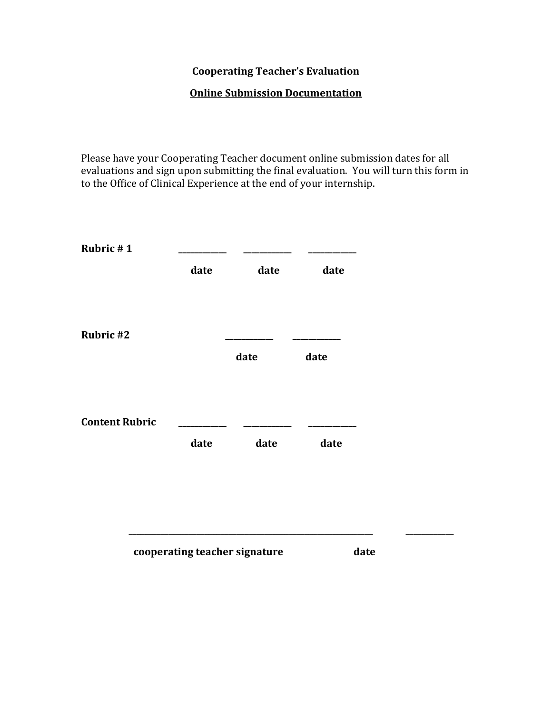# **Cooperating Teacher's Evaluation**

### **Online Submission Documentation**

Please have your Cooperating Teacher document online submission dates for all evaluations and sign upon submitting the final evaluation. You will turn this form in to the Office of Clinical Experience at the end of your internship.

| date | date | date |  |
|------|------|------|--|
|      |      |      |  |
|      |      |      |  |
|      |      |      |  |
|      | date | date |  |
|      |      |      |  |
|      |      |      |  |
|      |      |      |  |
| date | date | date |  |
|      |      |      |  |
|      |      |      |  |
|      |      |      |  |
|      |      |      |  |
|      |      |      |  |

### **cooperating teacher signature date** date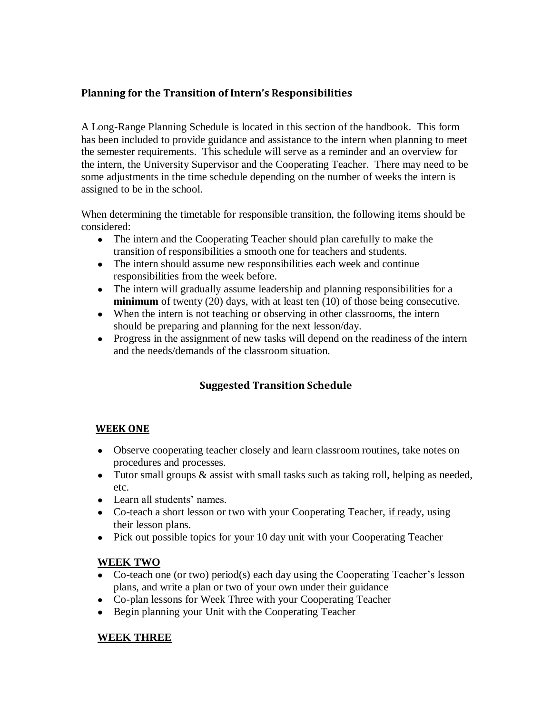#### **Planning for the Transition of Intern's Responsibilities**

A Long-Range Planning Schedule is located in this section of the handbook. This form has been included to provide guidance and assistance to the intern when planning to meet the semester requirements. This schedule will serve as a reminder and an overview for the intern, the University Supervisor and the Cooperating Teacher. There may need to be some adjustments in the time schedule depending on the number of weeks the intern is assigned to be in the school.

When determining the timetable for responsible transition, the following items should be considered:

- The intern and the Cooperating Teacher should plan carefully to make the transition of responsibilities a smooth one for teachers and students.
- The intern should assume new responsibilities each week and continue responsibilities from the week before.
- The intern will gradually assume leadership and planning responsibilities for a **minimum** of twenty (20) days, with at least ten (10) of those being consecutive.
- When the intern is not teaching or observing in other classrooms, the intern should be preparing and planning for the next lesson/day.
- Progress in the assignment of new tasks will depend on the readiness of the intern and the needs/demands of the classroom situation.

### **Suggested Transition Schedule**

#### **WEEK ONE**

- Observe cooperating teacher closely and learn classroom routines, take notes on procedures and processes.
- Tutor small groups & assist with small tasks such as taking roll, helping as needed, etc.
- Learn all students' names.
- Co-teach a short lesson or two with your Cooperating Teacher, if ready, using their lesson plans.
- Pick out possible topics for your 10 day unit with your Cooperating Teacher

#### **WEEK TWO**

- Co-teach one (or two) period(s) each day using the Cooperating Teacher's lesson plans, and write a plan or two of your own under their guidance
- Co-plan lessons for Week Three with your Cooperating Teacher
- Begin planning your Unit with the Cooperating Teacher

#### **WEEK THREE**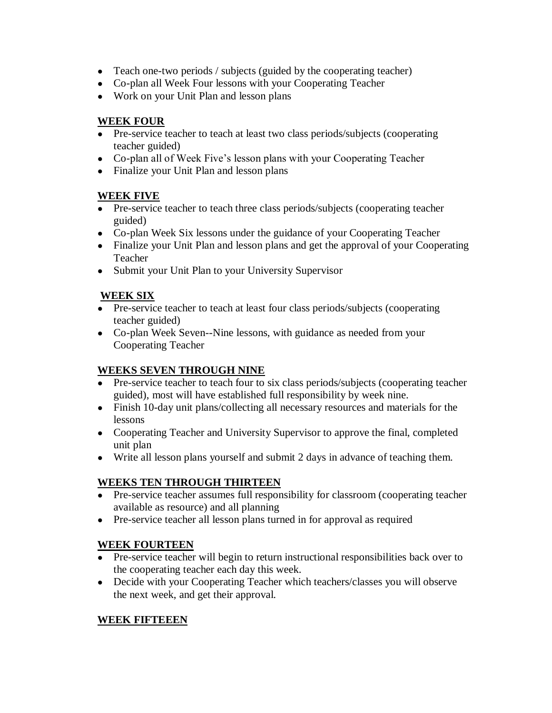- Teach one-two periods / subjects (guided by the cooperating teacher)
- Co-plan all Week Four lessons with your Cooperating Teacher
- Work on your Unit Plan and lesson plans

### **WEEK FOUR**

- Pre-service teacher to teach at least two class periods/subjects (cooperating teacher guided)
- Co-plan all of Week Five's lesson plans with your Cooperating Teacher
- Finalize your Unit Plan and lesson plans

### **WEEK FIVE**

- Pre-service teacher to teach three class periods/subjects (cooperating teacher guided)
- Co-plan Week Six lessons under the guidance of your Cooperating Teacher
- Finalize your Unit Plan and lesson plans and get the approval of your Cooperating Teacher
- Submit your Unit Plan to your University Supervisor

### **WEEK SIX**

- Pre-service teacher to teach at least four class periods/subjects (cooperating teacher guided)
- Co-plan Week Seven--Nine lessons, with guidance as needed from your Cooperating Teacher

### **WEEKS SEVEN THROUGH NINE**

- Pre-service teacher to teach four to six class periods/subjects (cooperating teacher guided), most will have established full responsibility by week nine.
- Finish 10-day unit plans/collecting all necessary resources and materials for the lessons
- Cooperating Teacher and University Supervisor to approve the final, completed unit plan
- Write all lesson plans yourself and submit 2 days in advance of teaching them.

### **WEEKS TEN THROUGH THIRTEEN**

- Pre-service teacher assumes full responsibility for classroom (cooperating teacher available as resource) and all planning
- Pre-service teacher all lesson plans turned in for approval as required

### **WEEK FOURTEEN**

- Pre-service teacher will begin to return instructional responsibilities back over to the cooperating teacher each day this week.
- Decide with your Cooperating Teacher which teachers/classes you will observe the next week, and get their approval.

### **WEEK FIFTEEEN**